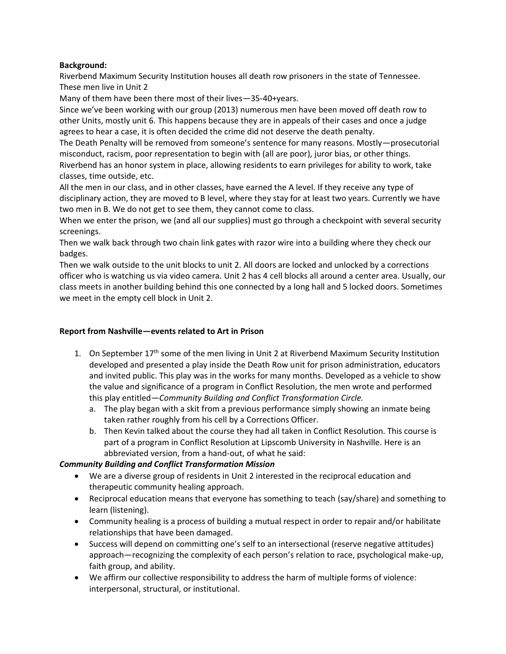## **Background:**

Riverbend Maximum Security Institution houses all death row prisoners in the state of Tennessee. These men live in Unit 2

Many of them have been there most of their lives—35-40+years.

Since we've been working with our group (2013) numerous men have been moved off death row to other Units, mostly unit 6. This happens because they are in appeals of their cases and once a judge agrees to hear a case, it is often decided the crime did not deserve the death penalty.

The Death Penalty will be removed from someone's sentence for many reasons. Mostly—prosecutorial misconduct, racism, poor representation to begin with (all are poor), juror bias, or other things. Riverbend has an honor system in place, allowing residents to earn privileges for ability to work, take classes, time outside, etc.

All the men in our class, and in other classes, have earned the A level. If they receive any type of disciplinary action, they are moved to B level, where they stay for at least two years. Currently we have two men in B. We do not get to see them, they cannot come to class.

When we enter the prison, we (and all our supplies) must go through a checkpoint with several security screenings.

Then we walk back through two chain link gates with razor wire into a building where they check our badges.

Then we walk outside to the unit blocks to unit 2. All doors are locked and unlocked by a corrections officer who is watching us via video camera. Unit 2 has 4 cell blocks all around a center area. Usually, our class meets in another building behind this one connected by a long hall and 5 locked doors. Sometimes we meet in the empty cell block in Unit 2.

## **Report from Nashville—events related to Art in Prison**

- 1. On September  $17<sup>th</sup>$  some of the men living in Unit 2 at Riverbend Maximum Security Institution developed and presented a play inside the Death Row unit for prison administration, educators and invited public. This play was in the works for many months. Developed as a vehicle to show the value and significance of a program in Conflict Resolution, the men wrote and performed this play entitled—*Community Building and Conflict Transformation Circle.*
	- a. The play began with a skit from a previous performance simply showing an inmate being taken rather roughly from his cell by a Corrections Officer.
	- b. Then Kevin talked about the course they had all taken in Conflict Resolution. This course is part of a program in Conflict Resolution at Lipscomb University in Nashville. Here is an abbreviated version, from a hand-out, of what he said:

## *Community Building and Conflict Transformation Mission*

- We are a diverse group of residents in Unit 2 interested in the reciprocal education and therapeutic community healing approach.
- Reciprocal education means that everyone has something to teach (say/share) and something to learn (listening).
- Community healing is a process of building a mutual respect in order to repair and/or habilitate relationships that have been damaged.
- Success will depend on committing one's self to an intersectional (reserve negative attitudes) approach—recognizing the complexity of each person's relation to race, psychological make-up, faith group, and ability.
- We affirm our collective responsibility to address the harm of multiple forms of violence: interpersonal, structural, or institutional.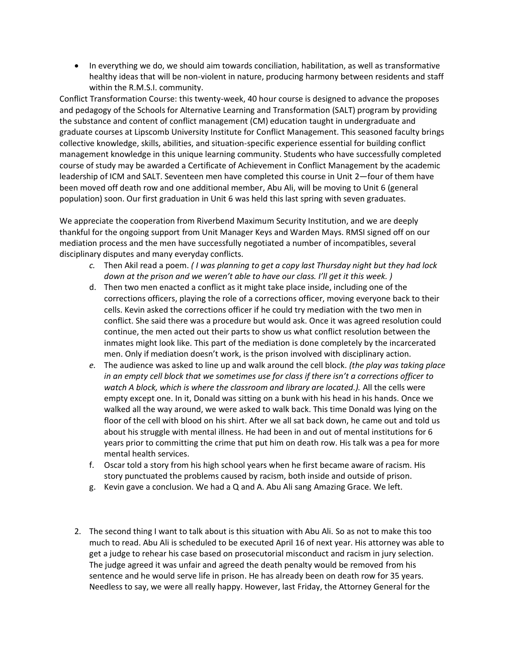• In everything we do, we should aim towards conciliation, habilitation, as well as transformative healthy ideas that will be non-violent in nature, producing harmony between residents and staff within the R.M.S.I. community.

Conflict Transformation Course: this twenty-week, 40 hour course is designed to advance the proposes and pedagogy of the Schools for Alternative Learning and Transformation (SALT) program by providing the substance and content of conflict management (CM) education taught in undergraduate and graduate courses at Lipscomb University Institute for Conflict Management. This seasoned faculty brings collective knowledge, skills, abilities, and situation-specific experience essential for building conflict management knowledge in this unique learning community. Students who have successfully completed course of study may be awarded a Certificate of Achievement in Conflict Management by the academic leadership of ICM and SALT. Seventeen men have completed this course in Unit 2—four of them have been moved off death row and one additional member, Abu Ali, will be moving to Unit 6 (general population) soon. Our first graduation in Unit 6 was held this last spring with seven graduates.

We appreciate the cooperation from Riverbend Maximum Security Institution, and we are deeply thankful for the ongoing support from Unit Manager Keys and Warden Mays. RMSI signed off on our mediation process and the men have successfully negotiated a number of incompatibles, several disciplinary disputes and many everyday conflicts.

- *c.* Then Akil read a poem. *( I was planning to get a copy last Thursday night but they had lock down at the prison and we weren't able to have our class. I'll get it this week. )*
- d. Then two men enacted a conflict as it might take place inside, including one of the corrections officers, playing the role of a corrections officer, moving everyone back to their cells. Kevin asked the corrections officer if he could try mediation with the two men in conflict. She said there was a procedure but would ask. Once it was agreed resolution could continue, the men acted out their parts to show us what conflict resolution between the inmates might look like. This part of the mediation is done completely by the incarcerated men. Only if mediation doesn't work, is the prison involved with disciplinary action.
- *e.* The audience was asked to line up and walk around the cell block. *(the play was taking place in an empty cell block that we sometimes use for class if there isn't a corrections officer to watch A block, which is where the classroom and library are located.).* All the cells were empty except one. In it, Donald was sitting on a bunk with his head in his hands. Once we walked all the way around, we were asked to walk back. This time Donald was lying on the floor of the cell with blood on his shirt. After we all sat back down, he came out and told us about his struggle with mental illness. He had been in and out of mental institutions for 6 years prior to committing the crime that put him on death row. His talk was a pea for more mental health services.
- f. Oscar told a story from his high school years when he first became aware of racism. His story punctuated the problems caused by racism, both inside and outside of prison.
- g. Kevin gave a conclusion. We had a Q and A. Abu Ali sang Amazing Grace. We left.
- 2. The second thing I want to talk about is this situation with Abu Ali. So as not to make this too much to read. Abu Ali is scheduled to be executed April 16 of next year. His attorney was able to get a judge to rehear his case based on prosecutorial misconduct and racism in jury selection. The judge agreed it was unfair and agreed the death penalty would be removed from his sentence and he would serve life in prison. He has already been on death row for 35 years. Needless to say, we were all really happy. However, last Friday, the Attorney General for the